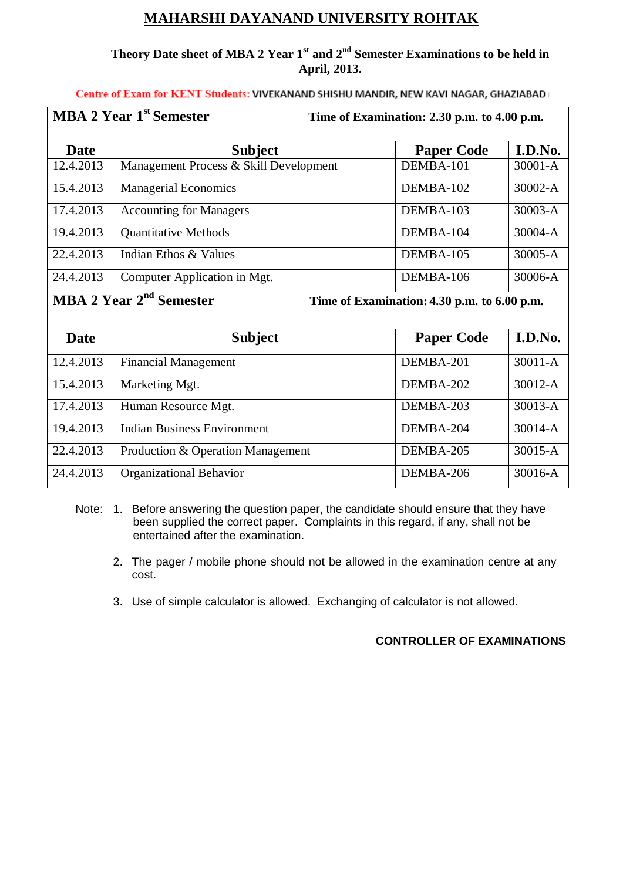## **MAHARSHI DAYANAND UNIVERSITY ROHTAK**

## **Theory Date sheet of MBA 2 Year 1st and 2nd Semester Examinations to be held in April, 2013.**

**Centre of Exam for KENT Students: VIVEKANAND SHISHU MANDIR, NEW KAVI NAGAR, GHAZIABAD** 

| <b>MBA 2 Year 1st Semester</b><br>Time of Examination: 2.30 p.m. to 4.00 p.m.      |                                        |           |                   |             |
|------------------------------------------------------------------------------------|----------------------------------------|-----------|-------------------|-------------|
| <b>Date</b>                                                                        | <b>Subject</b>                         |           | <b>Paper Code</b> | I.D.No.     |
| 12.4.2013                                                                          | Management Process & Skill Development | DEMBA-101 |                   | $30001 - A$ |
| 15.4.2013                                                                          | <b>Managerial Economics</b>            | DEMBA-102 |                   | $30002 - A$ |
| 17.4.2013                                                                          | <b>Accounting for Managers</b>         | DEMBA-103 |                   | $30003 - A$ |
| 19.4.2013                                                                          | <b>Quantitative Methods</b>            | DEMBA-104 |                   | 30004-A     |
| 22.4.2013                                                                          | Indian Ethos & Values                  | DEMBA-105 |                   | 30005-A     |
| 24.4.2013                                                                          | Computer Application in Mgt.           | DEMBA-106 |                   | 30006-A     |
| MBA 2 Year 2 <sup>nd</sup> Semester<br>Time of Examination: 4.30 p.m. to 6.00 p.m. |                                        |           |                   |             |

Date **Bubject Paper Code I.D.No.** 12.4.2013 Financial Management DEMBA-201 30011-A 15.4.2013 | Marketing Mgt. | DEMBA-202 | 30012-A 17.4.2013 | Human Resource Mgt. | DEMBA-203 | 30013-A 19.4.2013 Indian Business Environment DEMBA-204 30014-A 22.4.2013 | Production & Operation Management | DEMBA-205 | 30015-A 24.4.2013 | Organizational Behavior | DEMBA-206 | 30016-A

- Note: 1. Before answering the question paper, the candidate should ensure that they have been supplied the correct paper. Complaints in this regard, if any, shall not be entertained after the examination.
	- 2. The pager / mobile phone should not be allowed in the examination centre at any cost.
	- 3. Use of simple calculator is allowed. Exchanging of calculator is not allowed.

## **CONTROLLER OF EXAMINATIONS**